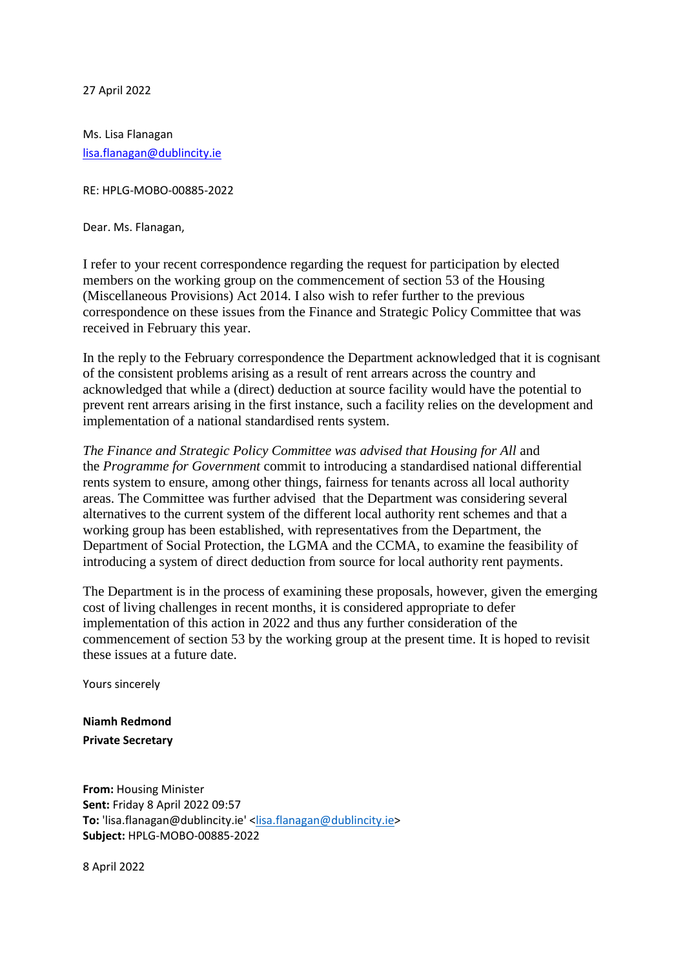27 April 2022

Ms. Lisa Flanagan [lisa.flanagan@dublincity.ie](mailto:lisa.flanagan@dublincity.ie)

RE: HPLG-MOBO-00885-2022

Dear. Ms. Flanagan,

I refer to your recent correspondence regarding the request for participation by elected members on the working group on the commencement of section 53 of the Housing (Miscellaneous Provisions) Act 2014. I also wish to refer further to the previous correspondence on these issues from the Finance and Strategic Policy Committee that was received in February this year.

In the reply to the February correspondence the Department acknowledged that it is cognisant of the consistent problems arising as a result of rent arrears across the country and acknowledged that while a (direct) deduction at source facility would have the potential to prevent rent arrears arising in the first instance, such a facility relies on the development and implementation of a national standardised rents system.

*The Finance and Strategic Policy Committee was advised that Housing for All* and the *Programme for Government* commit to introducing a standardised national differential rents system to ensure, among other things, fairness for tenants across all local authority areas. The Committee was further advised that the Department was considering several alternatives to the current system of the different local authority rent schemes and that a working group has been established, with representatives from the Department, the Department of Social Protection, the LGMA and the CCMA, to examine the feasibility of introducing a system of direct deduction from source for local authority rent payments.

The Department is in the process of examining these proposals, however, given the emerging cost of living challenges in recent months, it is considered appropriate to defer implementation of this action in 2022 and thus any further consideration of the commencement of section 53 by the working group at the present time. It is hoped to revisit these issues at a future date.

Yours sincerely

**Niamh Redmond Private Secretary**

**From:** Housing Minister **Sent:** Friday 8 April 2022 09:57 To: 'lisa.flanagan@dublincity.ie' [<lisa.flanagan@dublincity.ie>](mailto:lisa.flanagan@dublincity.ie) **Subject:** HPLG-MOBO-00885-2022

8 April 2022